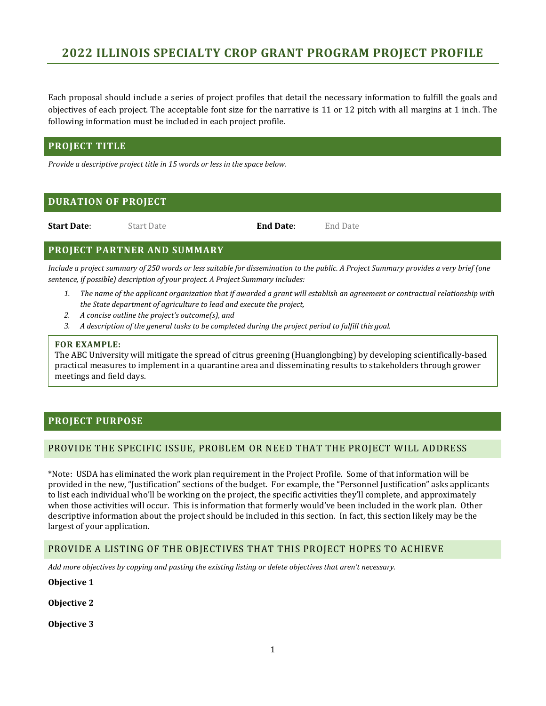Each proposal should include a series of project profiles that detail the necessary information to fulfill the goals and objectives of each project. The acceptable font size for the narrative is 11 or 12 pitch with all margins at 1 inch. The following information must be included in each project profile.

## **PROJECT TITLE**

*Provide a descriptive project title in 15 words or less in the space below.*

## **DURATION OF PROJECT**

**Start Date**: Start Date **End Date**: End Date

## **PROJECT PARTNER AND SUMMARY**

*Include a project summary of 250 words or less suitable for dissemination to the public. A Project Summary provides a very brief (one sentence, if possible) description of your project. A Project Summary includes:*

- *1. The name of the applicant organization that if awarded a grant will establish an agreement or contractual relationship with the State department of agriculture to lead and execute the project,*
- *2. A concise outline the project's outcome(s), and*
- *3. A description of the general tasks to be completed during the project period to fulfill this goal.*

#### **FOR EXAMPLE:**

The ABC University will mitigate the spread of citrus greening (Huanglongbing) by developing scientifically-based practical measures to implement in a quarantine area and disseminating results to stakeholders through grower meetings and field days.

## **PROJECT PURPOSE**

## PROVIDE THE SPECIFIC ISSUE, PROBLEM OR NEED THAT THE PROJECT WILL ADDRESS

\*Note: USDA has eliminated the work plan requirement in the Project Profile. Some of that information will be provided in the new, "Justification" sections of the budget. For example, the "Personnel Justification" asks applicants to list each individual who'll be working on the project, the specific activities they'll complete, and approximately when those activities will occur. This is information that formerly would've been included in the work plan. Other descriptive information about the project should be included in this section. In fact, this section likely may be the largest of your application.

## PROVIDE A LISTING OF THE OBJECTIVES THAT THIS PROJECT HOPES TO ACHIEVE

*Add more objectives by copying and pasting the existing listing or delete objectives that aren't necessary.*

#### **Objective 1**

**Objective 2**

**Objective 3**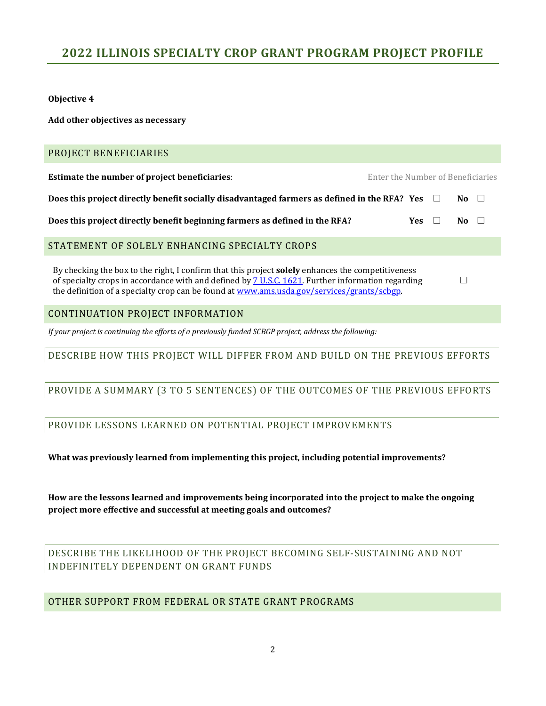**Objective 4**

**Add other objectives as necessary**

## PROJECT BENEFICIARIES

**Estimate the number of project beneficiaries**: Enter the Number of Beneficiaries

**Does this project directly benefit socially disadvantaged farmers as defined in the RFA? Yes** ☐ **No** ☐

**Does this project directly benefit beginning farmers as defined in the RFA? Yes □ No □** 

## STATEMENT OF SOLELY ENHANCING SPECIALTY CROPS

By checking the box to the right, I confirm that this project **solely** enhances the competitiveness of specialty crops in accordance with and defined by [7 U.S.C. 1621.](http://uscode.house.gov/view.xhtml?req=(title:7%20section:1621%20edition:prelim)%20OR%20(granuleid:USC-prelim-title7-section1621)&f=treesort&edition=prelim&num=0&jumpTo=true) Further information regarding the definition of a specialty crop can be found at [www.ams.usda.gov/services/grants/scbgp.](http://www.ams.usda.gov/services/grants/scbgp)

## CONTINUATION PROJECT INFORMATION

*If your project is continuing the efforts of a previously funded SCBGP project, address the following:*

## DESCRIBE HOW THIS PROJECT WILL DIFFER FROM AND BUILD ON THE PREVIOUS EFFORTS

☐

## PROVIDE A SUMMARY (3 TO 5 SENTENCES) OF THE OUTCOMES OF THE PREVIOUS EFFORTS

## PROVIDE LESSONS LEARNED ON POTENTIAL PROJECT IMPROVEMENTS

**What was previously learned from implementing this project, including potential improvements?**

**How are the lessons learned and improvements being incorporated into the project to make the ongoing project more effective and successful at meeting goals and outcomes?**

DESCRIBE THE LIKELIHOOD OF THE PROJECT BECOMING SELF-SUSTAINING AND NOT INDEFINITELY DEPENDENT ON GRANT FUNDS

## OTHER SUPPORT FROM FEDERAL OR STATE GRANT PROGRAMS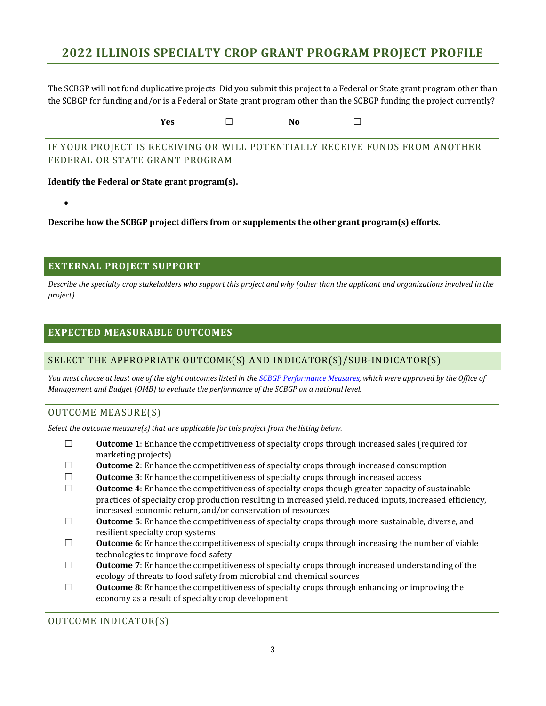The SCBGP will not fund duplicative projects. Did you submit this project to a Federal or State grant program other than the SCBGP for funding and/or is a Federal or State grant program other than the SCBGP funding the project currently?

**Yes** ☐ **No** ☐

IF YOUR PROJECT IS RECEIVING OR WILL POTENTIALLY RECEIVE FUNDS FROM ANOTHER FEDERAL OR STATE GRANT PROGRAM

**Identify the Federal or State grant program(s).**

**Describe how the SCBGP project differs from or supplements the other grant program(s) efforts.**

## **EXTERNAL PROJECT SUPPORT**

•

*Describe the specialty crop stakeholders who support this project and why (other than the applicant and organizations involved in the project).*

## **EXPECTED MEASURABLE OUTCOMES**

## SELECT THE APPROPRIATE OUTCOME(S) AND INDICATOR(S)/SUB-INDICATOR(S)

*You must choose at least one of the eight outcomes listed in th[e SCBGP Performance Measures,](https://www.ams.usda.gov/services/grants/scbgp) which were approved by the Office of Management and Budget (OMB) to evaluate the performance of the SCBGP on a national level.* 

## OUTCOME MEASURE(S)

*Select the outcome measure(s) that are applicable for this project from the listing below.*

- □ **Outcome 1**: Enhance the competitiveness of specialty crops through increased sales (required for marketing projects)
- □ **Outcome 2**: Enhance the competitiveness of specialty crops through increased consumption<br>□ **Outcome 3**: Enhance the competitiveness of specialty crops through increased access
- □ **Outcome 3**: Enhance the competitiveness of specialty crops through increased access  $□$  **Outcome 4**: Enhance the competitiveness of specialty crops though greater capacity o
- **Outcome 4**: Enhance the competitiveness of specialty crops though greater capacity of sustainable practices of specialty crop production resulting in increased yield, reduced inputs, increased efficiency, increased economic return, and/or conservation of resources
- ☐ **Outcome 5**: Enhance the competitiveness of specialty crops through more sustainable, diverse, and resilient specialty crop systems
- □ **Outcome 6**: Enhance the competitiveness of specialty crops through increasing the number of viable technologies to improve food safety
- □ **Outcome 7**: Enhance the competitiveness of specialty crops through increased understanding of the ecology of threats to food safety from microbial and chemical sources
- ☐ **Outcome 8**: Enhance the competitiveness of specialty crops through enhancing or improving the economy as a result of specialty crop development

OUTCOME INDICATOR(S)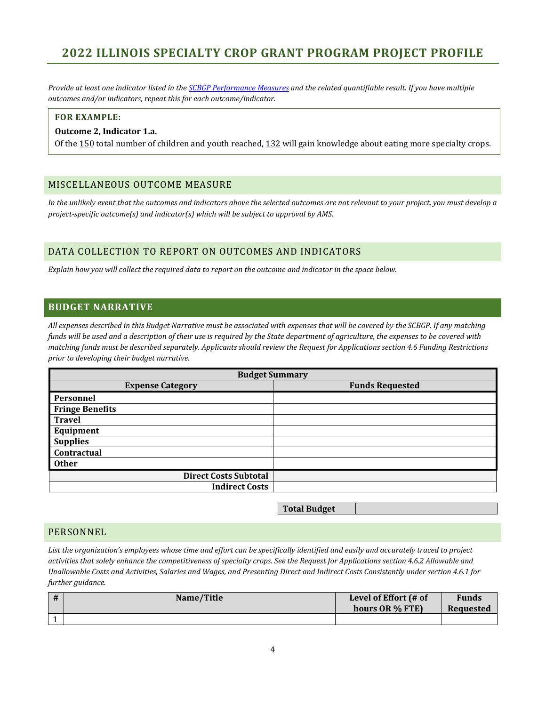*Provide at least one indicator listed in th[e SCBGP Performance Measures](https://www.ams.usda.gov/services/grants/scbgp) and the related quantifiable result. If you have multiple outcomes and/or indicators, repeat this for each outcome/indicator.*

#### **FOR EXAMPLE:**

#### **Outcome 2, Indicator 1.a.**

Of the 150 total number of children and youth reached, 132 will gain knowledge about eating more specialty crops.

#### MISCELLANEOUS OUTCOME MEASURE

*In the unlikely event that the outcomes and indicators above the selected outcomes are not relevant to your project, you must develop a project-specific outcome(s) and indicator(s) which will be subject to approval by AMS.*

## DATA COLLECTION TO REPORT ON OUTCOMES AND INDICATORS

*Explain how you will collect the required data to report on the outcome and indicator in the space below.*

## **BUDGET NARRATIVE**

*All expenses described in this Budget Narrative must be associated with expenses that will be covered by the SCBGP. If any matching funds will be used and a description of their use is required by the State department of agriculture, the expenses to be covered with matching funds must be described separately. Applicants should review the Request for Applications section 4.6 Funding Restrictions prior to developing their budget narrative.*

| <b>Budget Summary</b>        |                        |  |  |  |
|------------------------------|------------------------|--|--|--|
| <b>Expense Category</b>      | <b>Funds Requested</b> |  |  |  |
| Personnel                    |                        |  |  |  |
| <b>Fringe Benefits</b>       |                        |  |  |  |
| <b>Travel</b>                |                        |  |  |  |
| Equipment                    |                        |  |  |  |
| <b>Supplies</b>              |                        |  |  |  |
| <b>Contractual</b>           |                        |  |  |  |
| <b>Other</b>                 |                        |  |  |  |
| <b>Direct Costs Subtotal</b> |                        |  |  |  |
| <b>Indirect Costs</b>        |                        |  |  |  |

**Total Budget**

## PERSONNEL

*List the organization's employees whose time and effort can be specifically identified and easily and accurately traced to project activities that solely enhance the competitiveness of specialty crops. See the Request for Applications section 4.6.2 Allowable and Unallowable Costs and Activities, Salaries and Wages, and Presenting Direct and Indirect Costs Consistently under section 4.6.1 for further guidance.*

| . # | Name/Title | Level of Effort (# of<br>hours OR % FTE) | <b>Funds</b><br>Requested |
|-----|------------|------------------------------------------|---------------------------|
|     |            |                                          |                           |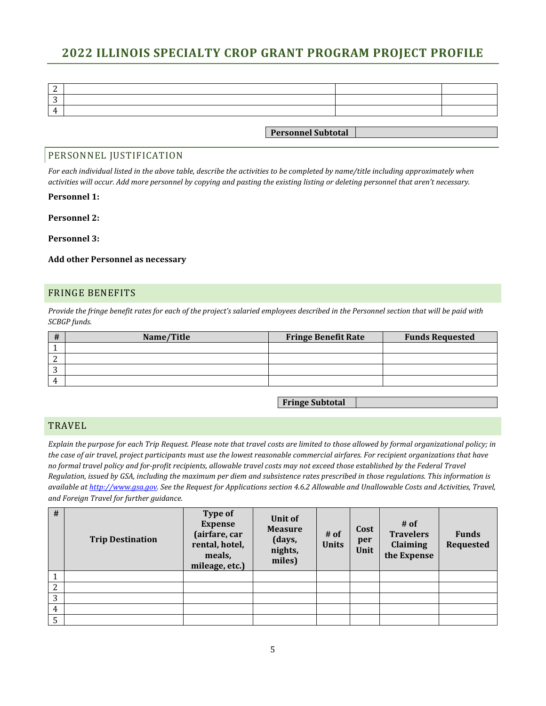| 4 |                           |  |
|---|---------------------------|--|
|   |                           |  |
|   | <b>Personnel Subtotal</b> |  |

### PERSONNEL JUSTIFICATION

*For each individual listed in the above table, describe the activities to be completed by name/title including approximately when activities will occur. Add more personnel by copying and pasting the existing listing or deleting personnel that aren't necessary.*

#### **Personnel 1:**

#### **Personnel 2:**

#### **Personnel 3:**

#### **Add other Personnel as necessary**

#### FRINGE BENEFITS

*Provide the fringe benefit rates for each of the project's salaried employees described in the Personnel section that will be paid with SCBGP funds.*

| #  | Name/Title | <b>Fringe Benefit Rate</b> | <b>Funds Requested</b> |
|----|------------|----------------------------|------------------------|
|    |            |                            |                        |
| ∸  |            |                            |                        |
| ົ  |            |                            |                        |
| Д, |            |                            |                        |

**Fringe Subtotal**

### **TRAVEL**

*Explain the purpose for each Trip Request. Please note that travel costs are limited to those allowed by formal organizational policy; in the case of air travel, project participants must use the lowest reasonable commercial airfares. For recipient organizations that have no formal travel policy and for-profit recipients, allowable travel costs may not exceed those established by the Federal Travel Regulation, issued by GSA, including the maximum per diem and subsistence rates prescribed in those regulations. This information is available a[t http://www.gsa.gov.](http://www.gsa.gov/) See the Request for Applications section 4.6.2 Allowable and Unallowable Costs and Activities, Travel, and Foreign Travel for further guidance.*

| #              | <b>Trip Destination</b> | Type of<br><b>Expense</b><br>(airfare, car<br>rental, hotel,<br>meals,<br>mileage, etc.) | Unit of<br><b>Measure</b><br>(days,<br>nights,<br>miles) | # of<br><b>Units</b> | Cost<br>per<br>Unit | $#$ of<br><b>Travelers</b><br>Claiming<br>the Expense | <b>Funds</b><br><b>Requested</b> |
|----------------|-------------------------|------------------------------------------------------------------------------------------|----------------------------------------------------------|----------------------|---------------------|-------------------------------------------------------|----------------------------------|
|                |                         |                                                                                          |                                                          |                      |                     |                                                       |                                  |
| $\overline{2}$ |                         |                                                                                          |                                                          |                      |                     |                                                       |                                  |
| 3              |                         |                                                                                          |                                                          |                      |                     |                                                       |                                  |
| 4              |                         |                                                                                          |                                                          |                      |                     |                                                       |                                  |
| 5              |                         |                                                                                          |                                                          |                      |                     |                                                       |                                  |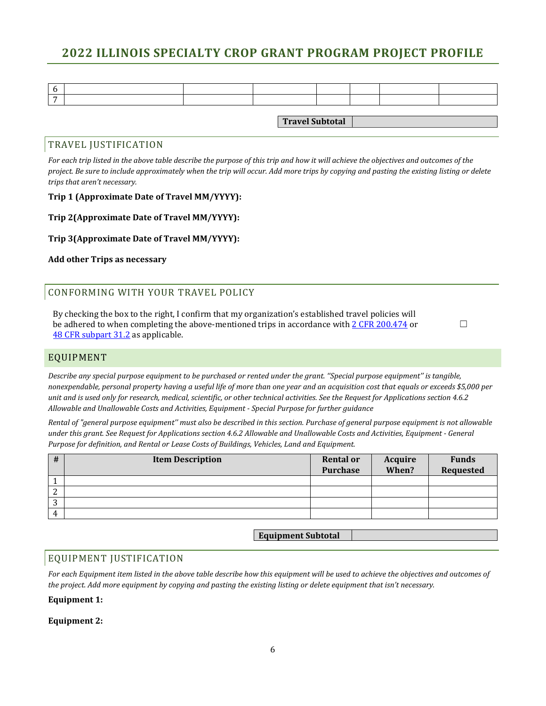**Travel Subtotal**

#### TRAVEL JUSTIFICATION

*For each trip listed in the above table describe the purpose of this trip and how it will achieve the objectives and outcomes of the project. Be sure to include approximately when the trip will occur. Add more trips by copying and pasting the existing listing or delete trips that aren't necessary.*

#### **Trip 1 (Approximate Date of Travel MM/YYYY):**

#### **Trip 2(Approximate Date of Travel MM/YYYY):**

## **Trip 3(Approximate Date of Travel MM/YYYY):**

**Add other Trips as necessary**

## CONFORMING WITH YOUR TRAVEL POLICY

By checking the box to the right, I confirm that my organization's established travel policies will be adhered to when completing the above-mentioned trips in accordance with [2 CFR 200.474](http://www.ecfr.gov/cgi-bin/retrieveECFR?gp=&SID=988467ba214fbb07298599affd94f30a&n=pt2.1.200&r=PART&ty=HTML#se2.1.200_1474) or [48 CFR subpart 31.2](http://www.ecfr.gov/cgi-bin/text-idx?SID=3f25ca1f21583e03b13f595d0d9c518d&node=pt48.1.31&rgn=div5#sp48.1.31.31_12) as applicable.

 $\Box$ 

## EQUIPMENT

*Describe any special purpose equipment to be purchased or rented under the grant. ''Special purpose equipment'' is tangible, nonexpendable, personal property having a useful life of more than one year and an acquisition cost that equals or exceeds \$5,000 per unit and is used only for research, medical, scientific, or other technical activities. See the Request for Applications section 4.6.2 Allowable and Unallowable Costs and Activities, Equipment - Special Purpose for further guidance*

*Rental of "general purpose equipment'' must also be described in this section. Purchase of general purpose equipment is not allowable under this grant. See Request for Applications section 4.6.2 Allowable and Unallowable Costs and Activities, Equipment - General Purpose for definition, and Rental or Lease Costs of Buildings, Vehicles, Land and Equipment.*

| #      | <b>Item Description</b> | <b>Rental or</b><br>Purchase | Acquire<br>When? | <b>Funds</b><br>Requested |
|--------|-------------------------|------------------------------|------------------|---------------------------|
|        |                         |                              |                  |                           |
| ∼      |                         |                              |                  |                           |
| n<br>J |                         |                              |                  |                           |
| 4      |                         |                              |                  |                           |

## **Equipment Subtotal**

## EQUIPMENT JUSTIFICATION

*For each Equipment item listed in the above table describe how this equipment will be used to achieve the objectives and outcomes of the project. Add more equipment by copying and pasting the existing listing or delete equipment that isn't necessary.*

#### **Equipment 1:**

#### **Equipment 2:**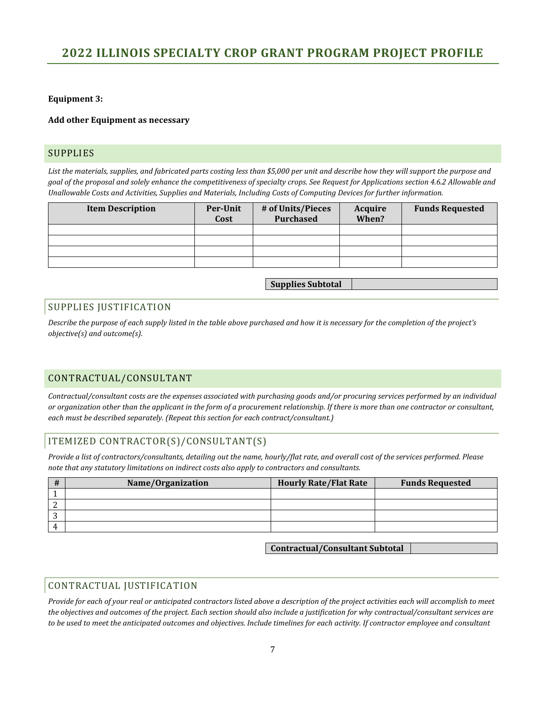#### **Equipment 3:**

#### **Add other Equipment as necessary**

### SUPPLIES

List the materials, supplies, and fabricated parts costing less than \$5,000 per unit and describe how they will support the purpose and *goal of the proposal and solely enhance the competitiveness of specialty crops. See Request for Applications section 4.6.2 Allowable and Unallowable Costs and Activities, Supplies and Materials, Including Costs of Computing Devices for further information.* 

| <b>Item Description</b> | Per-Unit<br>Cost | # of Units/Pieces<br>Purchased | Acquire<br>When? | <b>Funds Requested</b> |
|-------------------------|------------------|--------------------------------|------------------|------------------------|
|                         |                  |                                |                  |                        |
|                         |                  |                                |                  |                        |
|                         |                  |                                |                  |                        |
|                         |                  |                                |                  |                        |

**Supplies Subtotal**

## SUPPLIES JUSTIFICATION

*Describe the purpose of each supply listed in the table above purchased and how it is necessary for the completion of the project's objective(s) and outcome(s).*

## CONTRACTUAL/CONSULTANT

*Contractual/consultant costs are the expenses associated with purchasing goods and/or procuring services performed by an individual or organization other than the applicant in the form of a procurement relationship. If there is more than one contractor or consultant, each must be described separately. (Repeat this section for each contract/consultant.)*

## ITEMIZED CONTRACTOR(S)/CONSULTANT(S)

*Provide a list of contractors/consultants, detailing out the name, hourly/flat rate, and overall cost of the services performed. Please note that any statutory limitations on indirect costs also apply to contractors and consultants.*

|    | Name/Organization | <b>Hourly Rate/Flat Rate</b> | <b>Funds Requested</b> |
|----|-------------------|------------------------------|------------------------|
|    |                   |                              |                        |
|    |                   |                              |                        |
|    |                   |                              |                        |
| Д. |                   |                              |                        |

**Contractual/Consultant Subtotal**

## CONTRACTUAL JUSTIFICATION

*Provide for each of your real or anticipated contractors listed above a description of the project activities each will accomplish to meet the objectives and outcomes of the project. Each section should also include a justification for why contractual/consultant services are to be used to meet the anticipated outcomes and objectives. Include timelines for each activity. If contractor employee and consultant*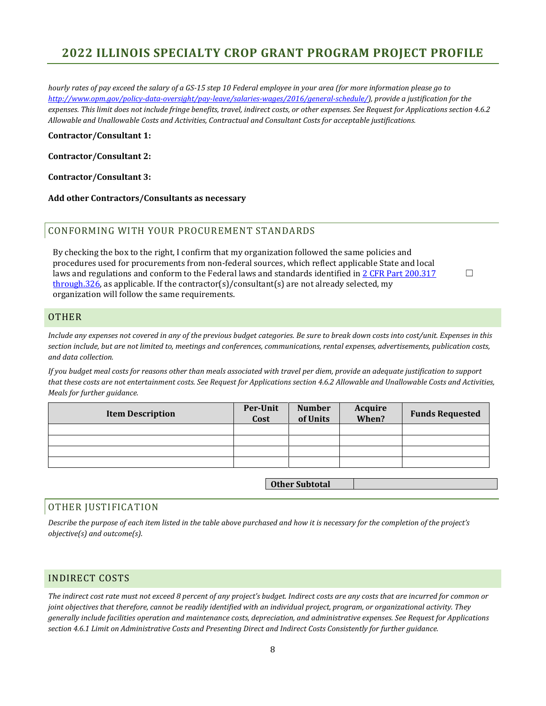*hourly rates of pay exceed the salary of a GS-15 step 10 Federal employee in your area (for more information please go to [http://www.opm.gov/policy-data-oversight/pay-leave/salaries-wages/2016/general-schedule/\)](http://www.opm.gov/policy-data-oversight/pay-leave/salaries-wages/2016/general-schedule/), provide a justification for the expenses. This limit does not include fringe benefits, travel, indirect costs, or other expenses. See Request for Applications section 4.6.2 Allowable and Unallowable Costs and Activities, Contractual and Consultant Costs for acceptable justifications.*

**Contractor/Consultant 1:**

**Contractor/Consultant 2:**

**Contractor/Consultant 3:**

**Add other Contractors/Consultants as necessary**

### CONFORMING WITH YOUR PROCUREMENT STANDARDS

By checking the box to the right, I confirm that my organization followed the same policies and procedures used for procurements from non-federal sources, which reflect applicable State and local laws and regulations and conform to the Federal laws and standards identified in 2 CFR Part 200.317 [through.326,](http://www.ecfr.gov/cgi-bin/retrieveECFR?gp=&SID=988467ba214fbb07298599affd94f30a&n=pt2.1.200&r=PART&ty=HTML#sg2.1.200_1316.sg3) as applicable. If the contractor(s)/consultant(s) are not already selected, my organization will follow the same requirements.

#### **OTHER**

*Include any expenses not covered in any of the previous budget categories. Be sure to break down costs into cost/unit. Expenses in this section include, but are not limited to, meetings and conferences, communications, rental expenses, advertisements, publication costs, and data collection.*

☐

*If you budget meal costs for reasons other than meals associated with travel per diem, provide an adequate justification to support that these costs are not entertainment costs. See Request for Applications section 4.6.2 Allowable and Unallowable Costs and Activities, Meals for further guidance.*

| <b>Item Description</b> | Per-Unit<br>Cost | <b>Number</b><br>of Units | Acquire<br>When? | <b>Funds Requested</b> |
|-------------------------|------------------|---------------------------|------------------|------------------------|
|                         |                  |                           |                  |                        |
|                         |                  |                           |                  |                        |
|                         |                  |                           |                  |                        |
|                         |                  |                           |                  |                        |

**Other Subtotal**

## OTHER JUSTIFICATION

*Describe the purpose of each item listed in the table above purchased and how it is necessary for the completion of the project's objective(s) and outcome(s).*

## INDIRECT COSTS

*The indirect cost rate must not exceed 8 percent of any project's budget. Indirect costs are any costs that are incurred for common or joint objectives that therefore, cannot be readily identified with an individual project, program, or organizational activity. They generally include facilities operation and maintenance costs, depreciation, and administrative expenses. See Request for Applications section 4.6.1 Limit on Administrative Costs and Presenting Direct and Indirect Costs Consistently for further guidance.*